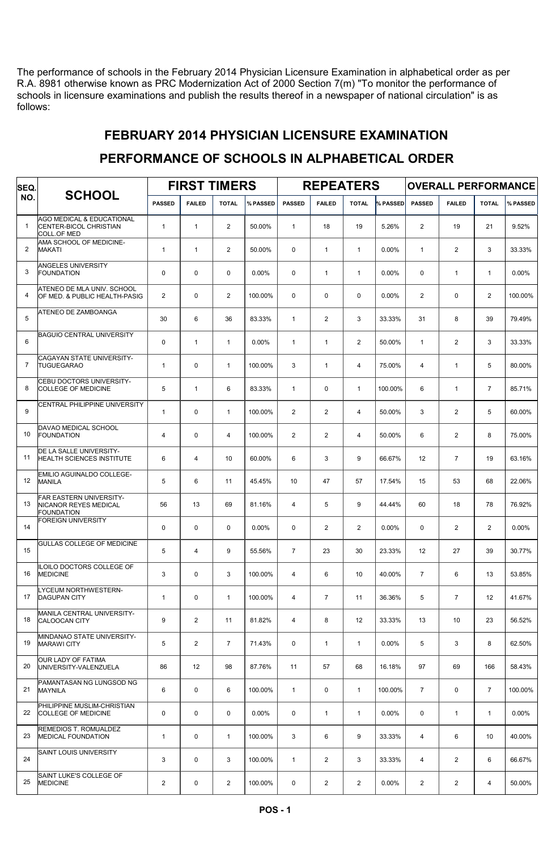The performance of schools in the February 2014 Physician Licensure Examination in alphabetical order as per R.A. 8981 otherwise known as PRC Modernization Act of 2000 Section 7(m) "To monitor the performance of schools in licensure examinations and publish the results thereof in a newspaper of national circulation" is as follows:

## FEBRUARY 2014 PHYSICIAN LICENSURE EXAMINATION

## PERFORMANCE OF SCHOOLS IN ALPHABETICAL ORDER

| SEQ.<br>NO.    | <b>SCHOOL</b>                                                                    | <b>FIRST TIMERS</b> |                |                |          | <b>REPEATERS</b> |                |                |          | <b>OVERALL PERFORMANCE</b> |                |                |          |  |
|----------------|----------------------------------------------------------------------------------|---------------------|----------------|----------------|----------|------------------|----------------|----------------|----------|----------------------------|----------------|----------------|----------|--|
|                |                                                                                  | <b>PASSED</b>       | <b>FAILED</b>  | <b>TOTAL</b>   | % PASSED | <b>PASSED</b>    | <b>FAILED</b>  | <b>TOTAL</b>   | % PASSED | <b>PASSED</b>              | <b>FAILED</b>  | <b>TOTAL</b>   | % PASSED |  |
| $\overline{1}$ | AGO MEDICAL & EDUCATIONAL<br><b>CENTER-BICOL CHRISTIAN</b><br><b>COLL.OF MED</b> | $\mathbf{1}$        | $\mathbf{1}$   | $\overline{2}$ | 50.00%   | $\mathbf{1}$     | 18             | 19             | 5.26%    | $\overline{2}$             | 19             | 21             | 9.52%    |  |
| $\overline{2}$ | AMA SCHOOL OF MEDICINE-<br><b>MAKATI</b>                                         | $\mathbf{1}$        | $\overline{1}$ | $\overline{2}$ | 50.00%   | $\Omega$         | $\mathbf{1}$   | $\mathbf{1}$   | 0.00%    | $\mathbf{1}$               | 2              | 3              | 33.33%   |  |
| 3              | <b>ANGELES UNIVERSITY</b><br><b>FOUNDATION</b>                                   | $\Omega$            | $\mathbf 0$    | $\mathbf 0$    | 0.00%    | $\mathbf 0$      | $\mathbf{1}$   | $\mathbf{1}$   | 0.00%    | 0                          | $\mathbf{1}$   | $\mathbf{1}$   | 0.00%    |  |
| 4              | ATENEO DE MLA UNIV. SCHOOL<br>OF MED. & PUBLIC HEALTH-PASIG                      | $\overline{2}$      | $\mathbf 0$    | $\overline{2}$ | 100.00%  | $\mathbf 0$      | 0              | $\mathbf 0$    | 0.00%    | $\overline{2}$             | $\mathbf 0$    | $\mathbf{2}$   | 100.00%  |  |
| 5              | ATENEO DE ZAMBOANGA                                                              | 30                  | 6              | 36             | 83.33%   | $\mathbf{1}$     | $\mathbf{2}$   | 3              | 33.33%   | 31                         | 8              | 39             | 79.49%   |  |
| 6              | <b>BAGUIO CENTRAL UNIVERSITY</b>                                                 | $\mathbf 0$         | $\overline{1}$ | $\mathbf{1}$   | 0.00%    | $\mathbf{1}$     | $\mathbf{1}$   | $\overline{2}$ | 50.00%   | $\mathbf{1}$               | $\overline{2}$ | 3              | 33.33%   |  |
| $\overline{7}$ | CAGAYAN STATE UNIVERSITY-<br><b>TUGUEGARAO</b>                                   | $\mathbf{1}$        | $\mathbf 0$    | $\mathbf{1}$   | 100.00%  | 3                | $\mathbf{1}$   | $\overline{4}$ | 75.00%   | 4                          | $\mathbf{1}$   | 5              | 80.00%   |  |
| 8              | CEBU DOCTORS UNIVERSITY-<br><b>COLLEGE OF MEDICINE</b>                           | 5                   | $\overline{1}$ | 6              | 83.33%   | $\mathbf{1}$     | $\mathbf 0$    | $\mathbf{1}$   | 100.00%  | 6                          | $\mathbf{1}$   | $\overline{7}$ | 85.71%   |  |
| 9              | CENTRAL PHILIPPINE UNIVERSITY                                                    | $\mathbf{1}$        | $\Omega$       | $\mathbf{1}$   | 100.00%  | $\overline{2}$   | $\mathbf{2}$   | $\overline{4}$ | 50.00%   | 3                          | $\overline{2}$ | 5              | 60.00%   |  |
| 10             | DAVAO MEDICAL SCHOOL<br><b>FOUNDATION</b>                                        | $\overline{4}$      | $\Omega$       | $\overline{4}$ | 100.00%  | $\overline{2}$   | $\mathbf{2}$   | $\overline{4}$ | 50.00%   | 6                          | $\overline{2}$ | 8              | 75.00%   |  |
| 11             | DE LA SALLE UNIVERSITY-<br><b>HEALTH SCIENCES INSTITUTE</b>                      | 6                   | $\overline{4}$ | 10             | 60.00%   | 6                | 3              | 9              | 66.67%   | 12                         | $\overline{7}$ | 19             | 63.16%   |  |
| 12             | EMILIO AGUINALDO COLLEGE-<br><b>MANILA</b>                                       | 5                   | 6              | 11             | 45.45%   | 10               | 47             | 57             | 17.54%   | 15                         | 53             | 68             | 22.06%   |  |
| 13             | FAR EASTERN UNIVERSITY-<br>NICANOR REYES MEDICAL<br><b>FOUNDATION</b>            | 56                  | 13             | 69             | 81.16%   | $\overline{4}$   | 5              | 9              | 44.44%   | 60                         | 18             | 78             | 76.92%   |  |
| 14             | <b>FOREIGN UNIVERSITY</b>                                                        | $\Omega$            | $\mathbf 0$    | 0              | 0.00%    | $\mathbf 0$      | $\overline{2}$ | $\overline{2}$ | 0.00%    | 0                          | $\mathbf{2}$   | $\mathbf{2}$   | 0.00%    |  |
| 15             | GULLAS COLLEGE OF MEDICINE                                                       | 5                   | 4              | 9              | 55.56%   | $\overline{7}$   | 23             | 30             | 23.33%   | 12                         | 27             | 39             | 30.77%   |  |
| 16             | ILOILO DOCTORS COLLEGE OF<br><b>MEDICINE</b>                                     | 3                   | $\Omega$       | 3              | 100.00%  | $\overline{4}$   | 6              | 10             | 40.00%   | $\overline{7}$             | 6              | 13             | 53.85%   |  |
| 17             | LYCEUM NORTHWESTERN-<br><b>DAGUPAN CITY</b>                                      | $\mathbf{1}$        | 0              | $\mathbf{1}$   | 100.00%  | 4                | $\overline{7}$ | 11             | 36.36%   | 5                          | $\overline{7}$ | 12             | 41.67%   |  |
| 18             | MANILA CENTRAL UNIVERSITY-<br><b>CALOOCAN CITY</b>                               | 9                   | $\overline{2}$ | 11             | 81.82%   | 4                | 8              | 12             | 33.33%   | 13                         | 10             | 23             | 56.52%   |  |
| 19             | MINDANAO STATE UNIVERSITY-<br><b>MARAWI CITY</b>                                 | 5                   | $\overline{2}$ | $\overline{7}$ | 71.43%   | 0                | $\mathbf{1}$   | $\mathbf{1}$   | 0.00%    | 5                          | 3              | 8              | 62.50%   |  |
| 20             | <b>OUR LADY OF FATIMA</b><br>UNIVERSITY-VALENZUELA                               | 86                  | 12             | 98             | 87.76%   | 11               | 57             | 68             | 16.18%   | 97                         | 69             | 166            | 58.43%   |  |
| 21             | PAMANTASAN NG LUNGSOD NG<br><b>MAYNILA</b>                                       | 6                   | $\mathbf 0$    | 6              | 100.00%  | $\mathbf{1}$     | 0              | $\mathbf{1}$   | 100.00%  | $\overline{7}$             | 0              | $\overline{7}$ | 100.00%  |  |
| 22             | PHILIPPINE MUSLIM-CHRISTIAN<br><b>COLLEGE OF MEDICINE</b>                        | 0                   | $\mathbf 0$    | 0              | $0.00\%$ | 0                | $\mathbf{1}$   | $\mathbf{1}$   | 0.00%    | 0                          | $\mathbf{1}$   | $\mathbf{1}$   | $0.00\%$ |  |
| 23             | REMEDIOS T. ROMUALDEZ<br><b>MEDICAL FOUNDATION</b>                               | $\mathbf{1}$        | $\mathbf 0$    | $\mathbf{1}$   | 100.00%  | 3                | 6              | 9              | 33.33%   | 4                          | 6              | 10             | 40.00%   |  |
| 24             | <b>SAINT LOUIS UNIVERSITY</b>                                                    | 3                   | $\mathbf 0$    | 3              | 100.00%  | $\mathbf{1}$     | $\mathbf{2}$   | 3              | 33.33%   | 4                          | $\overline{2}$ | 6              | 66.67%   |  |
| 25             | SAINT LUKE'S COLLEGE OF<br><b>MEDICINE</b>                                       | $\overline{2}$      | 0              | $\overline{2}$ | 100.00%  | 0                | $\overline{2}$ | $\overline{2}$ | $0.00\%$ | $\overline{2}$             | $\overline{2}$ | 4              | 50.00%   |  |